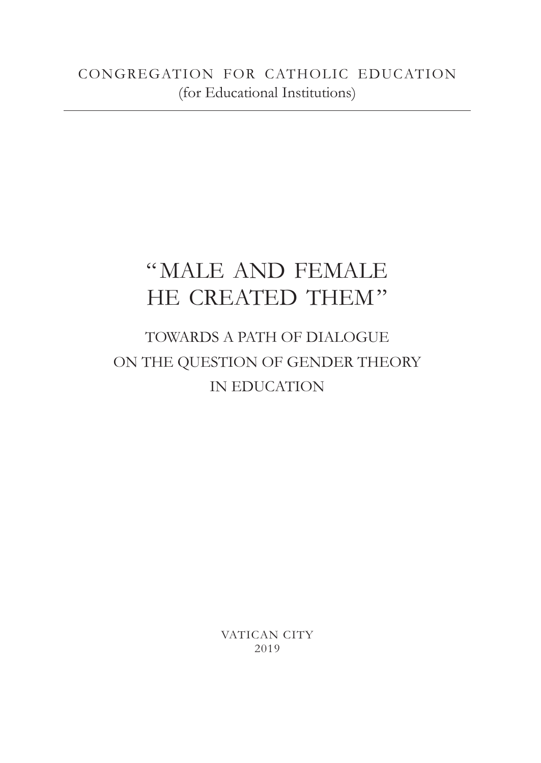# "MALE AND FEMALE HE CREATED THEM"

## TOWARDS A PATH OF DIALOGUE ON THE QUESTION OF GENDER THEORY IN EDUCATION

VATICAN CITY 2019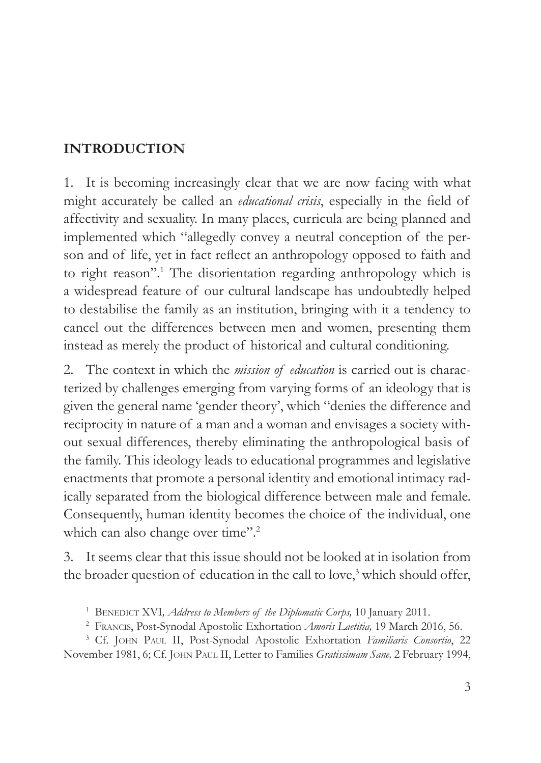#### **INTRODUCTION**

1. It is becoming increasingly clear that we are now facing with what might accurately be called an *educational crisis*, especially in the field of affectivity and sexuality. In many places, curricula are being planned and implemented which "allegedly convey a neutral conception of the person and of life, yet in fact reflect an anthropology opposed to faith and to right reason".1 The disorientation regarding anthropology which is a widespread feature of our cultural landscape has undoubtedly helped to destabilise the family as an institution, bringing with it a tendency to cancel out the differences between men and women, presenting them instead as merely the product of historical and cultural conditioning.

2. The context in which the *mission of education* is carried out is characterized by challenges emerging from varying forms of an ideology that is given the general name 'gender theory', which "denies the difference and reciprocity in nature of a man and a woman and envisages a society without sexual differences, thereby eliminating the anthropological basis of the family. This ideology leads to educational programmes and legislative enactments that promote a personal identity and emotional intimacy radically separated from the biological difference between male and female. Consequently, human identity becomes the choice of the individual, one which can also change over time".<sup>2</sup>

3. It seems clear that this issue should not be looked at in isolation from the broader question of education in the call to love,<sup>3</sup> which should offer,

<sup>3</sup> Cf. John Paul II, Post-Synodal Apostolic Exhortation *Familiaris Consortio*, 22 November 1981, 6; Cf. John Paul II, Letter to Families *Gratissimam Sane,* 2 February 1994,

<sup>&</sup>lt;sup>1</sup> BENEDICT XVI, *Address to Members of the Diplomatic Corps*, <sup>10</sup> January 2011.

<sup>2</sup> Francis, Post-Synodal Apostolic Exhortation *Amoris Laetitia,* 19 March 2016, 56.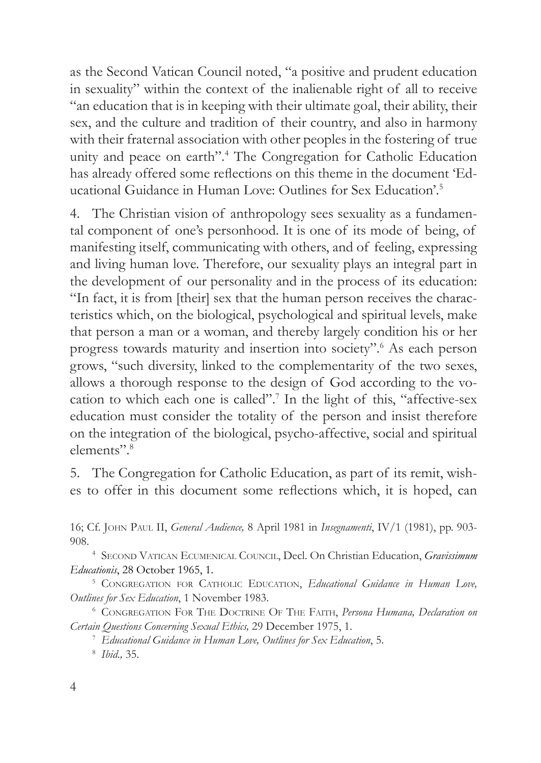as the Second Vatican Council noted, "a positive and prudent education in sexuality" within the context of the inalienable right of all to receive "an education that is in keeping with their ultimate goal, their ability, their sex, and the culture and tradition of their country, and also in harmony with their fraternal association with other peoples in the fostering of true unity and peace on earth".4 The Congregation for Catholic Education has already offered some reflections on this theme in the document 'Educational Guidance in Human Love: Outlines for Sex Education'.5

4. The Christian vision of anthropology sees sexuality as a fundamental component of one's personhood. It is one of its mode of being, of manifesting itself, communicating with others, and of feeling, expressing and living human love. Therefore, our sexuality plays an integral part in the development of our personality and in the process of its education: "In fact, it is from [their] sex that the human person receives the characteristics which, on the biological, psychological and spiritual levels, make that person a man or a woman, and thereby largely condition his or her progress towards maturity and insertion into society".6 As each person grows, "such diversity, linked to the complementarity of the two sexes, allows a thorough response to the design of God according to the vocation to which each one is called".7 In the light of this, "affective-sex education must consider the totality of the person and insist therefore on the integration of the biological, psycho-affective, social and spiritual elements".8

5. The Congregation for Catholic Education, as part of its remit, wishes to offer in this document some reflections which, it is hoped, can

16; Cf. John Paul II, *General Audience,* 8 April 1981 in *Insegnamenti*, IV/1 (1981), pp. 903- 908.

<sup>4</sup> Second Vatican Ecumenical Council, Decl. On Christian Education, *Gravissimum Educationis*, 28 October 1965, 1.

<sup>5</sup> CONGREGATION FOR CATHOLIC EDUCATION, *Educational Guidance in Human Love*, *Outlines for Sex Education*, 1 November 1983.

<sup>6</sup> Congregation For The Doctrine Of The Faith, *Persona Humana, Declaration on Certain Questions Concerning Sexual Ethics,* 29 December 1975, 1. 7 *Educational Guidance in Human Love, Outlines for Sex Education*, 5.

<sup>8</sup> *Ibid*.*,* 35.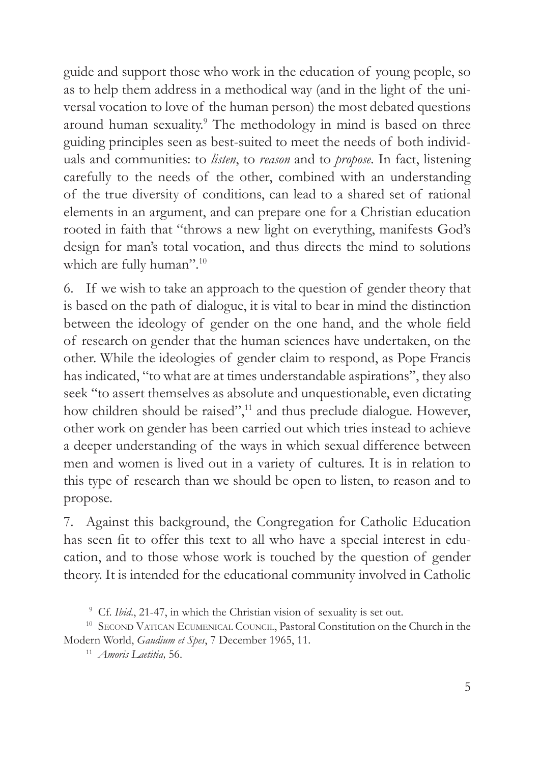guide and support those who work in the education of young people, so as to help them address in a methodical way (and in the light of the universal vocation to love of the human person) the most debated questions around human sexuality.<sup>9</sup> The methodology in mind is based on three guiding principles seen as best-suited to meet the needs of both individuals and communities: to *listen*, to *reason* and to *propose*. In fact, listening carefully to the needs of the other, combined with an understanding of the true diversity of conditions, can lead to a shared set of rational elements in an argument, and can prepare one for a Christian education rooted in faith that "throws a new light on everything, manifests God's design for man's total vocation, and thus directs the mind to solutions which are fully human".<sup>10</sup>

6. If we wish to take an approach to the question of gender theory that is based on the path of dialogue, it is vital to bear in mind the distinction between the ideology of gender on the one hand, and the whole field of research on gender that the human sciences have undertaken, on the other. While the ideologies of gender claim to respond, as Pope Francis has indicated, "to what are at times understandable aspirations", they also seek "to assert themselves as absolute and unquestionable, even dictating how children should be raised",<sup>11</sup> and thus preclude dialogue. However, other work on gender has been carried out which tries instead to achieve a deeper understanding of the ways in which sexual difference between men and women is lived out in a variety of cultures. It is in relation to this type of research than we should be open to listen, to reason and to propose.

7. Against this background, the Congregation for Catholic Education has seen fit to offer this text to all who have a special interest in education, and to those whose work is touched by the question of gender theory. It is intended for the educational community involved in Catholic

<sup>9</sup> Cf. *Ibid*., 21-47, in which the Christian vision of sexuality is set out.

<sup>&</sup>lt;sup>10</sup> SECOND VATICAN ECUMENICAL COUNCIL, Pastoral Constitution on the Church in the Modern World, *Gaudium et Spes*, 7 December 1965, 11.

<sup>11</sup> *Amoris Laetitia,* 56.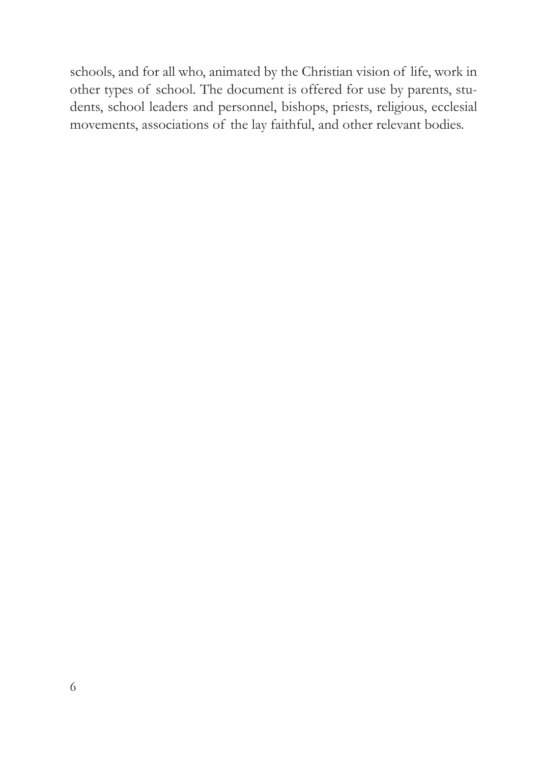schools, and for all who, animated by the Christian vision of life, work in other types of school. The document is offered for use by parents, students, school leaders and personnel, bishops, priests, religious, ecclesial movements, associations of the lay faithful, and other relevant bodies.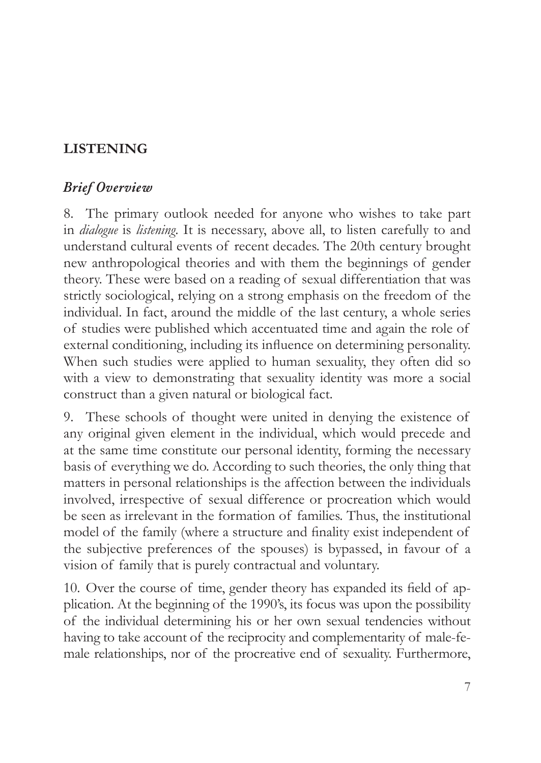## **LISTENING**

## *Brief Overview*

8. The primary outlook needed for anyone who wishes to take part in *dialogue* is *listening*. It is necessary, above all, to listen carefully to and understand cultural events of recent decades. The 20th century brought new anthropological theories and with them the beginnings of gender theory. These were based on a reading of sexual differentiation that was strictly sociological, relying on a strong emphasis on the freedom of the individual. In fact, around the middle of the last century, a whole series of studies were published which accentuated time and again the role of external conditioning, including its influence on determining personality. When such studies were applied to human sexuality, they often did so with a view to demonstrating that sexuality identity was more a social construct than a given natural or biological fact.

9. These schools of thought were united in denying the existence of any original given element in the individual, which would precede and at the same time constitute our personal identity, forming the necessary basis of everything we do. According to such theories, the only thing that matters in personal relationships is the affection between the individuals involved, irrespective of sexual difference or procreation which would be seen as irrelevant in the formation of families. Thus, the institutional model of the family (where a structure and finality exist independent of the subjective preferences of the spouses) is bypassed, in favour of a vision of family that is purely contractual and voluntary.

10. Over the course of time, gender theory has expanded its field of application. At the beginning of the 1990's, its focus was upon the possibility of the individual determining his or her own sexual tendencies without having to take account of the reciprocity and complementarity of male-female relationships, nor of the procreative end of sexuality. Furthermore,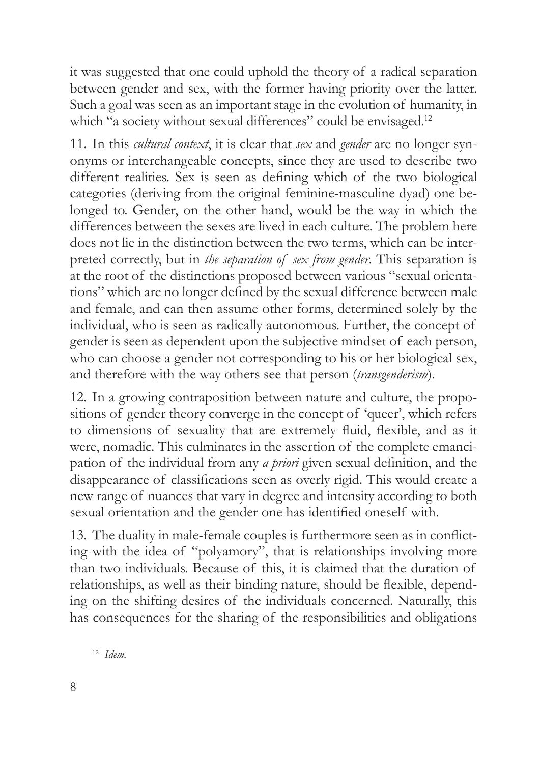it was suggested that one could uphold the theory of a radical separation between gender and sex, with the former having priority over the latter. Such a goal was seen as an important stage in the evolution of humanity, in which "a society without sexual differences" could be envisaged.<sup>12</sup>

11. In this *cultural context*, it is clear that *sex* and *gender* are no longer synonyms or interchangeable concepts, since they are used to describe two different realities. Sex is seen as defining which of the two biological categories (deriving from the original feminine-masculine dyad) one belonged to. Gender, on the other hand, would be the way in which the differences between the sexes are lived in each culture. The problem here does not lie in the distinction between the two terms, which can be interpreted correctly, but in *the separation of sex from gender*. This separation is at the root of the distinctions proposed between various "sexual orientations" which are no longer defined by the sexual difference between male and female, and can then assume other forms, determined solely by the individual, who is seen as radically autonomous. Further, the concept of gender is seen as dependent upon the subjective mindset of each person, who can choose a gender not corresponding to his or her biological sex, and therefore with the way others see that person (*transgenderism*).

12. In a growing contraposition between nature and culture, the propositions of gender theory converge in the concept of 'queer', which refers to dimensions of sexuality that are extremely fluid, flexible, and as it were, nomadic. This culminates in the assertion of the complete emancipation of the individual from any *a priori* given sexual definition, and the disappearance of classifications seen as overly rigid. This would create a new range of nuances that vary in degree and intensity according to both sexual orientation and the gender one has identified oneself with.

13. The duality in male-female couples is furthermore seen as in conflicting with the idea of "polyamory", that is relationships involving more than two individuals. Because of this, it is claimed that the duration of relationships, as well as their binding nature, should be flexible, depending on the shifting desires of the individuals concerned. Naturally, this has consequences for the sharing of the responsibilities and obligations

<sup>12</sup> *Idem.*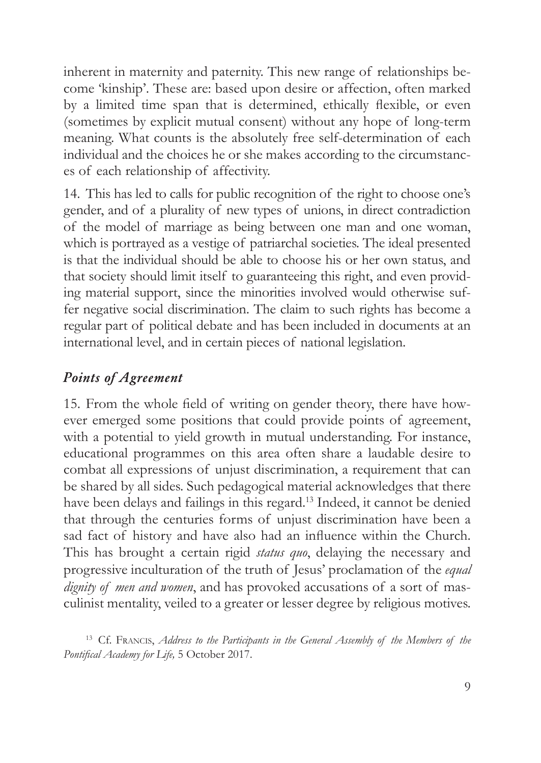inherent in maternity and paternity. This new range of relationships become 'kinship'. These are: based upon desire or affection, often marked by a limited time span that is determined, ethically flexible, or even (sometimes by explicit mutual consent) without any hope of long-term meaning. What counts is the absolutely free self-determination of each individual and the choices he or she makes according to the circumstances of each relationship of affectivity.

14. This has led to calls for public recognition of the right to choose one's gender, and of a plurality of new types of unions, in direct contradiction of the model of marriage as being between one man and one woman, which is portrayed as a vestige of patriarchal societies. The ideal presented is that the individual should be able to choose his or her own status, and that society should limit itself to guaranteeing this right, and even providing material support, since the minorities involved would otherwise suffer negative social discrimination. The claim to such rights has become a regular part of political debate and has been included in documents at an international level, and in certain pieces of national legislation.

## *Points of Agreement*

15. From the whole field of writing on gender theory, there have however emerged some positions that could provide points of agreement, with a potential to yield growth in mutual understanding. For instance, educational programmes on this area often share a laudable desire to combat all expressions of unjust discrimination, a requirement that can be shared by all sides. Such pedagogical material acknowledges that there have been delays and failings in this regard.<sup>13</sup> Indeed, it cannot be denied that through the centuries forms of unjust discrimination have been a sad fact of history and have also had an influence within the Church. This has brought a certain rigid *status quo*, delaying the necessary and progressive inculturation of the truth of Jesus' proclamation of the *equal dignity of men and women*, and has provoked accusations of a sort of masculinist mentality, veiled to a greater or lesser degree by religious motives.

<sup>13</sup> Cf. Francis, *Address to the Participants in the General Assembly of the Members of the Pontifical Academy for Life,* 5 October 2017.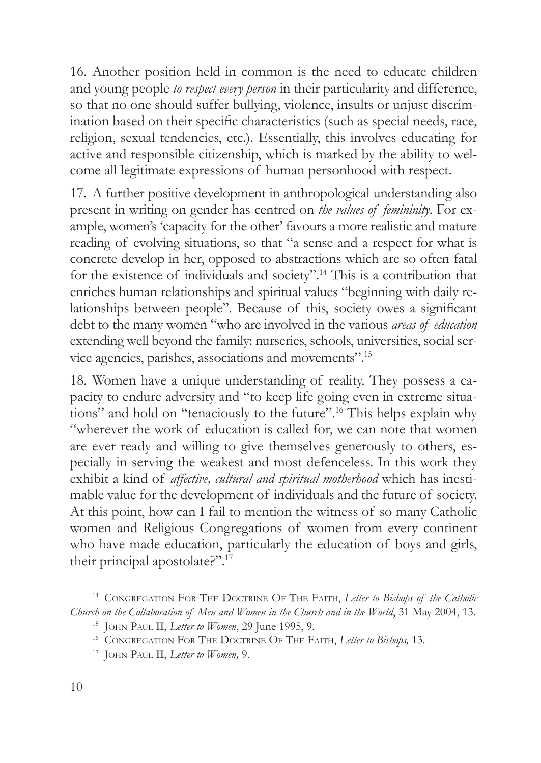16. Another position held in common is the need to educate children and young people *to respect every person* in their particularity and difference, so that no one should suffer bullying, violence, insults or unjust discrimination based on their specific characteristics (such as special needs, race, religion, sexual tendencies, etc.). Essentially, this involves educating for active and responsible citizenship, which is marked by the ability to welcome all legitimate expressions of human personhood with respect.

17. A further positive development in anthropological understanding also present in writing on gender has centred on *the values of femininity*. For example, women's 'capacity for the other' favours a more realistic and mature reading of evolving situations, so that "a sense and a respect for what is concrete develop in her, opposed to abstractions which are so often fatal for the existence of individuals and society".14 This is a contribution that enriches human relationships and spiritual values "beginning with daily relationships between people". Because of this, society owes a significant debt to the many women "who are involved in the various *areas of education*  extending well beyond the family: nurseries, schools, universities, social service agencies, parishes, associations and movements".15

18. Women have a unique understanding of reality. They possess a capacity to endure adversity and "to keep life going even in extreme situations" and hold on "tenaciously to the future".<sup>16</sup> This helps explain why "wherever the work of education is called for, we can note that women are ever ready and willing to give themselves generously to others, especially in serving the weakest and most defenceless. In this work they exhibit a kind of *affective, cultural and spiritual motherhood* which has inestimable value for the development of individuals and the future of society. At this point, how can I fail to mention the witness of so many Catholic women and Religious Congregations of women from every continent who have made education, particularly the education of boys and girls, their principal apostolate?".17

<sup>&</sup>lt;sup>14</sup> CONGREGATION FOR THE DOCTRINE OF THE FAITH, Letter to Bishops of the Catholic *Church on the Collaboration of Men and Women in the Church and in the World*, 31 May 2004, 13.

<sup>&</sup>lt;sup>15</sup> JOHN PAUL II, *Letter to Women*, 29 June 1995, 9.<br><sup>16</sup> CONGREGATION FOR THE DOCTRINE OF THE FAITH, *Letter to Bishops*, 13.

<sup>17</sup> John Paul II, *Letter to Women,* 9.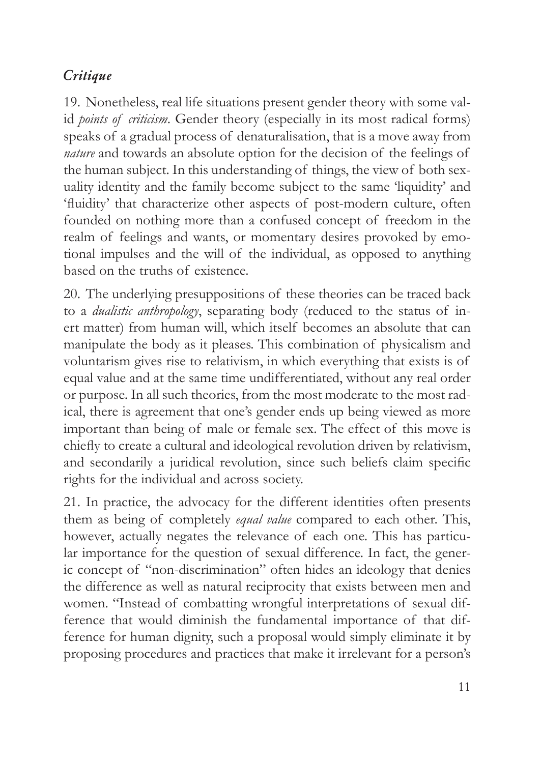## *Critique*

19. Nonetheless, real life situations present gender theory with some valid *points of criticism*. Gender theory (especially in its most radical forms) speaks of a gradual process of denaturalisation, that is a move away from *nature* and towards an absolute option for the decision of the feelings of the human subject. In this understanding of things, the view of both sexuality identity and the family become subject to the same 'liquidity' and 'fluidity' that characterize other aspects of post-modern culture, often founded on nothing more than a confused concept of freedom in the realm of feelings and wants, or momentary desires provoked by emotional impulses and the will of the individual, as opposed to anything based on the truths of existence.

20. The underlying presuppositions of these theories can be traced back to a *dualistic anthropology*, separating body (reduced to the status of inert matter) from human will, which itself becomes an absolute that can manipulate the body as it pleases. This combination of physicalism and voluntarism gives rise to relativism, in which everything that exists is of equal value and at the same time undifferentiated, without any real order or purpose. In all such theories, from the most moderate to the most radical, there is agreement that one's gender ends up being viewed as more important than being of male or female sex. The effect of this move is chiefly to create a cultural and ideological revolution driven by relativism, and secondarily a juridical revolution, since such beliefs claim specific rights for the individual and across society.

21. In practice, the advocacy for the different identities often presents them as being of completely *equal value* compared to each other. This, however, actually negates the relevance of each one. This has particular importance for the question of sexual difference. In fact, the generic concept of "non-discrimination" often hides an ideology that denies the difference as well as natural reciprocity that exists between men and women. "Instead of combatting wrongful interpretations of sexual difference that would diminish the fundamental importance of that difference for human dignity, such a proposal would simply eliminate it by proposing procedures and practices that make it irrelevant for a person's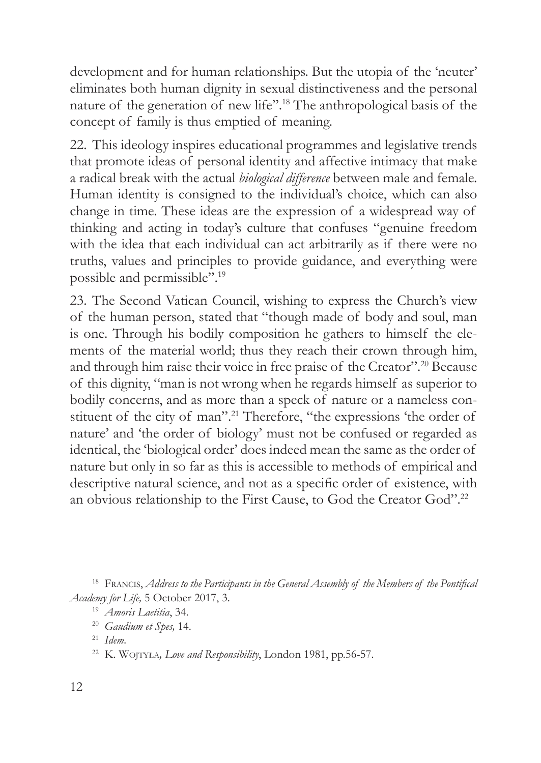development and for human relationships. But the utopia of the 'neuter' eliminates both human dignity in sexual distinctiveness and the personal nature of the generation of new life".18 The anthropological basis of the concept of family is thus emptied of meaning.

22. This ideology inspires educational programmes and legislative trends that promote ideas of personal identity and affective intimacy that make a radical break with the actual *biological difference* between male and female. Human identity is consigned to the individual's choice, which can also change in time. These ideas are the expression of a widespread way of thinking and acting in today's culture that confuses "genuine freedom with the idea that each individual can act arbitrarily as if there were no truths, values and principles to provide guidance, and everything were possible and permissible".19

23. The Second Vatican Council, wishing to express the Church's view of the human person, stated that "though made of body and soul, man is one. Through his bodily composition he gathers to himself the elements of the material world; thus they reach their crown through him, and through him raise their voice in free praise of the Creator".20 Because of this dignity, "man is not wrong when he regards himself as superior to bodily concerns, and as more than a speck of nature or a nameless constituent of the city of man".21 Therefore, "the expressions 'the order of nature' and 'the order of biology' must not be confused or regarded as identical, the 'biological order' does indeed mean the same as the order of nature but only in so far as this is accessible to methods of empirical and descriptive natural science, and not as a specific order of existence, with an obvious relationship to the First Cause, to God the Creator God".22

<sup>18</sup> Francis, *Address to the Participants in the General Assembly of the Members of the Pontifical Academy for Life,* 5 October 2017, 3.

<sup>21</sup> *Idem.*

<sup>19</sup> *Amoris Laetitia*, 34.

<sup>20</sup> *Gaudium et Spes,* 14.

<sup>22</sup> K. Wojtyła*, Love and Responsibility*, London 1981, pp.56-57.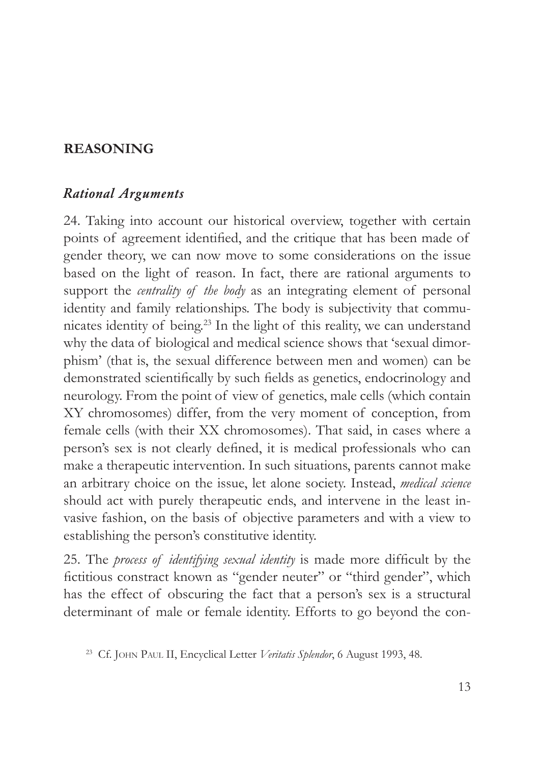#### **REASONING**

#### *Rational Arguments*

24. Taking into account our historical overview, together with certain points of agreement identified, and the critique that has been made of gender theory, we can now move to some considerations on the issue based on the light of reason. In fact, there are rational arguments to support the *centrality of the body* as an integrating element of personal identity and family relationships. The body is subjectivity that communicates identity of being.<sup>23</sup> In the light of this reality, we can understand why the data of biological and medical science shows that 'sexual dimorphism' (that is, the sexual difference between men and women) can be demonstrated scientifically by such fields as genetics, endocrinology and neurology. From the point of view of genetics, male cells (which contain XY chromosomes) differ, from the very moment of conception, from female cells (with their XX chromosomes). That said, in cases where a person's sex is not clearly defined, it is medical professionals who can make a therapeutic intervention. In such situations, parents cannot make an arbitrary choice on the issue, let alone society. Instead, *medical science* should act with purely therapeutic ends, and intervene in the least invasive fashion, on the basis of objective parameters and with a view to establishing the person's constitutive identity.

25. The *process of identifying sexual identity* is made more difficult by the fictitious constract known as "gender neuter" or "third gender", which has the effect of obscuring the fact that a person's sex is a structural determinant of male or female identity. Efforts to go beyond the con-

<sup>23</sup> Cf. John Paul II, Encyclical Letter *Veritatis Splendor*, 6 August 1993, 48.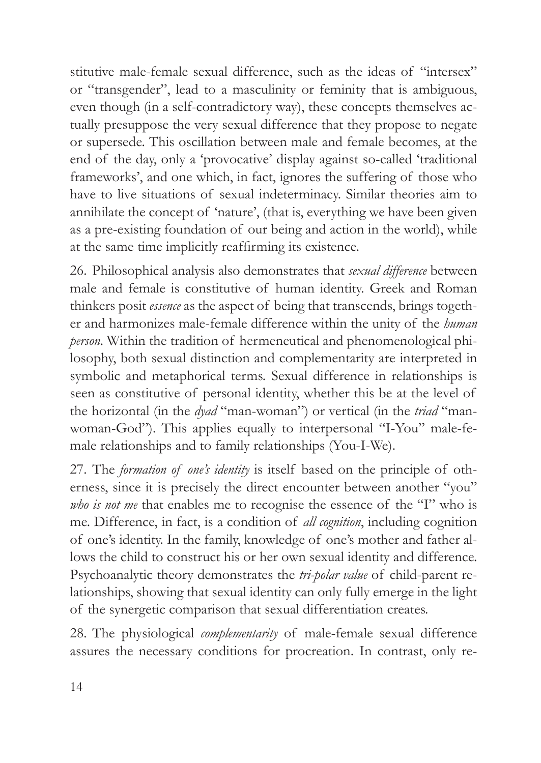stitutive male-female sexual difference, such as the ideas of "intersex" or "transgender", lead to a masculinity or feminity that is ambiguous, even though (in a self-contradictory way), these concepts themselves actually presuppose the very sexual difference that they propose to negate or supersede. This oscillation between male and female becomes, at the end of the day, only a 'provocative' display against so-called 'traditional frameworks', and one which, in fact, ignores the suffering of those who have to live situations of sexual indeterminacy. Similar theories aim to annihilate the concept of 'nature', (that is, everything we have been given as a pre-existing foundation of our being and action in the world), while at the same time implicitly reaffirming its existence.

26. Philosophical analysis also demonstrates that *sexual difference* between male and female is constitutive of human identity. Greek and Roman thinkers posit *essence* as the aspect of being that transcends, brings together and harmonizes male-female difference within the unity of the *human person*. Within the tradition of hermeneutical and phenomenological philosophy, both sexual distinction and complementarity are interpreted in symbolic and metaphorical terms. Sexual difference in relationships is seen as constitutive of personal identity, whether this be at the level of the horizontal (in the *dyad* "man-woman") or vertical (in the *triad* "manwoman-God"). This applies equally to interpersonal "I-You" male-female relationships and to family relationships (You-I-We).

27. The *formation of one's identity* is itself based on the principle of otherness, since it is precisely the direct encounter between another "you" *who is not me* that enables me to recognise the essence of the "I" who is me. Difference, in fact, is a condition of *all cognition*, including cognition of one's identity. In the family, knowledge of one's mother and father allows the child to construct his or her own sexual identity and difference. Psychoanalytic theory demonstrates the *tri-polar value* of child-parent relationships, showing that sexual identity can only fully emerge in the light of the synergetic comparison that sexual differentiation creates.

28. The physiological *complementarity* of male-female sexual difference assures the necessary conditions for procreation. In contrast, only re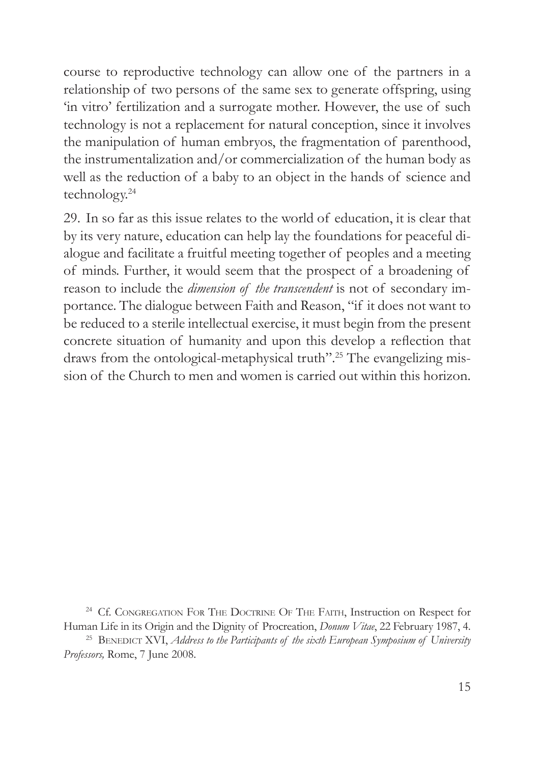course to reproductive technology can allow one of the partners in a relationship of two persons of the same sex to generate offspring, using 'in vitro' fertilization and a surrogate mother. However, the use of such technology is not a replacement for natural conception, since it involves the manipulation of human embryos, the fragmentation of parenthood, the instrumentalization and/or commercialization of the human body as well as the reduction of a baby to an object in the hands of science and technology.24

29. In so far as this issue relates to the world of education, it is clear that by its very nature, education can help lay the foundations for peaceful dialogue and facilitate a fruitful meeting together of peoples and a meeting of minds. Further, it would seem that the prospect of a broadening of reason to include the *dimension of the transcendent* is not of secondary importance. The dialogue between Faith and Reason, "if it does not want to be reduced to a sterile intellectual exercise, it must begin from the present concrete situation of humanity and upon this develop a reflection that draws from the ontological-metaphysical truth".<sup>25</sup> The evangelizing mission of the Church to men and women is carried out within this horizon.

<sup>24</sup> Cf. CONGREGATION FOR THE DOCTRINE OF THE FAITH, Instruction on Respect for Human Life in its Origin and the Dignity of Procreation, *Donum Vitae*, 22 February 1987, 4.<br><sup>25</sup> BENEDICT XVI, *Address to the Participants of the sixth European Symposium of University Professors,* Rome, 7 June 2008.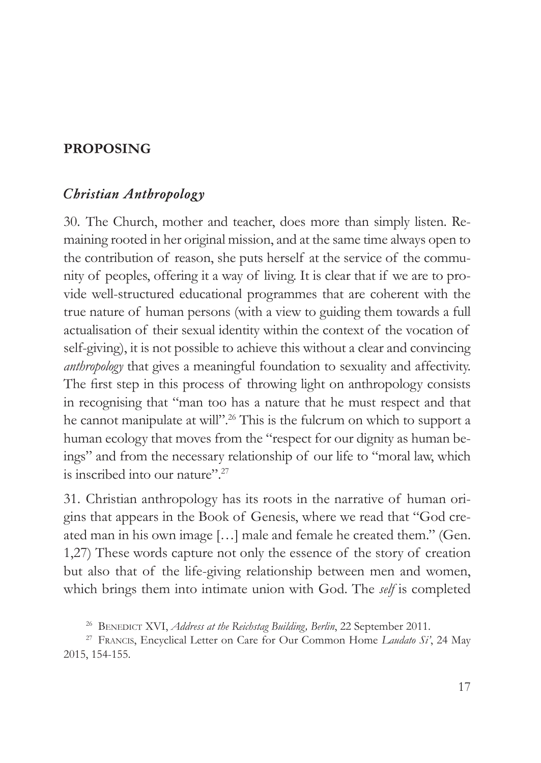#### **PROPOSING**

#### *Christian Anthropology*

30. The Church, mother and teacher, does more than simply listen. Remaining rooted in her original mission, and at the same time always open to the contribution of reason, she puts herself at the service of the community of peoples, offering it a way of living. It is clear that if we are to provide well-structured educational programmes that are coherent with the true nature of human persons (with a view to guiding them towards a full actualisation of their sexual identity within the context of the vocation of self-giving), it is not possible to achieve this without a clear and convincing *anthropology* that gives a meaningful foundation to sexuality and affectivity. The first step in this process of throwing light on anthropology consists in recognising that "man too has a nature that he must respect and that he cannot manipulate at will".<sup>26</sup> This is the fulcrum on which to support a human ecology that moves from the "respect for our dignity as human beings" and from the necessary relationship of our life to "moral law, which is inscribed into our nature".<sup>27</sup>

31. Christian anthropology has its roots in the narrative of human origins that appears in the Book of Genesis, where we read that "God created man in his own image […] male and female he created them." (Gen. 1,27) These words capture not only the essence of the story of creation but also that of the life-giving relationship between men and women, which brings them into intimate union with God. The *self* is completed

<sup>&</sup>lt;sup>26</sup> BENEDICT XVI, *Address at the Reichstag Building, Berlin*, 22 September 2011.<br><sup>27</sup> Francis, Encyclical Letter on Care for Our Common Home *Laudato Si'*, 24 May 2015, 154-155.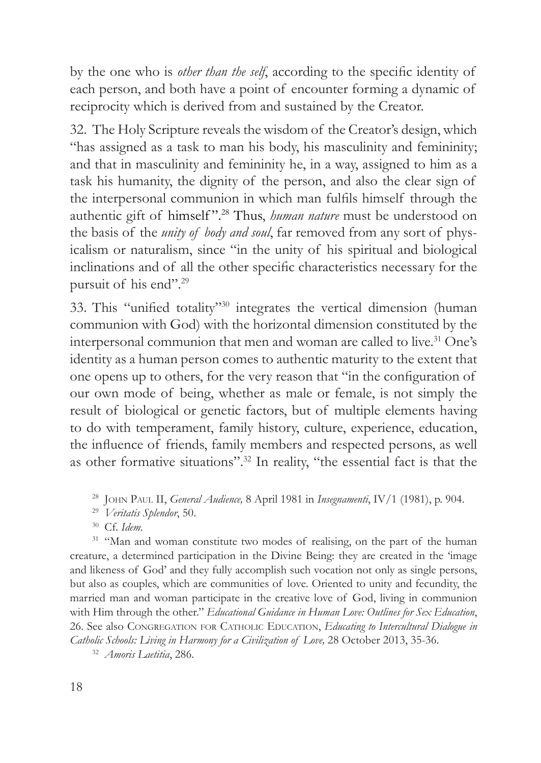by the one who is *other than the self*, according to the specific identity of each person, and both have a point of encounter forming a dynamic of reciprocity which is derived from and sustained by the Creator.

32. The Holy Scripture reveals the wisdom of the Creator's design, which "has assigned as a task to man his body, his masculinity and femininity; and that in masculinity and femininity he, in a way, assigned to him as a task his humanity, the dignity of the person, and also the clear sign of the interpersonal communion in which man fulfils himself through the authentic gift of himself ".28 Thus, *human nature* must be understood on the basis of the *unity of body and soul*, far removed from any sort of physicalism or naturalism, since "in the unity of his spiritual and biological inclinations and of all the other specific characteristics necessary for the pursuit of his end".29

33. This "unified totality"30 integrates the vertical dimension (human communion with God) with the horizontal dimension constituted by the interpersonal communion that men and woman are called to live.<sup>31</sup> One's identity as a human person comes to authentic maturity to the extent that one opens up to others, for the very reason that "in the configuration of our own mode of being, whether as male or female, is not simply the result of biological or genetic factors, but of multiple elements having to do with temperament, family history, culture, experience, education, the influence of friends, family members and respected persons, as well as other formative situations".32 In reality, "the essential fact is that the

<sup>30</sup> Cf. *Idem.*

<sup>31</sup> "Man and woman constitute two modes of realising, on the part of the human creature, a determined participation in the Divine Being: they are created in the 'image and likeness of God' and they fully accomplish such vocation not only as single persons, but also as couples, which are communities of love. Oriented to unity and fecundity, the married man and woman participate in the creative love of God, living in communion with Him through the other." *Educational Guidance in Human Love: Outlines for Sex Education*, 26. See also Congregation for Catholic Education, *Educating to Intercultural Dialogue in*  Catholic Schools: Living in Harmony for a Civilization of Love, 28 October 2013, 35-36.

<sup>32</sup> *Amoris Laetitia*, 286.

<sup>28</sup> John Paul II, *General Audience,* 8 April 1981 in *Insegnamenti*, IV/1 (1981), p. 904.

<sup>29</sup> *Veritatis Splendor*, 50.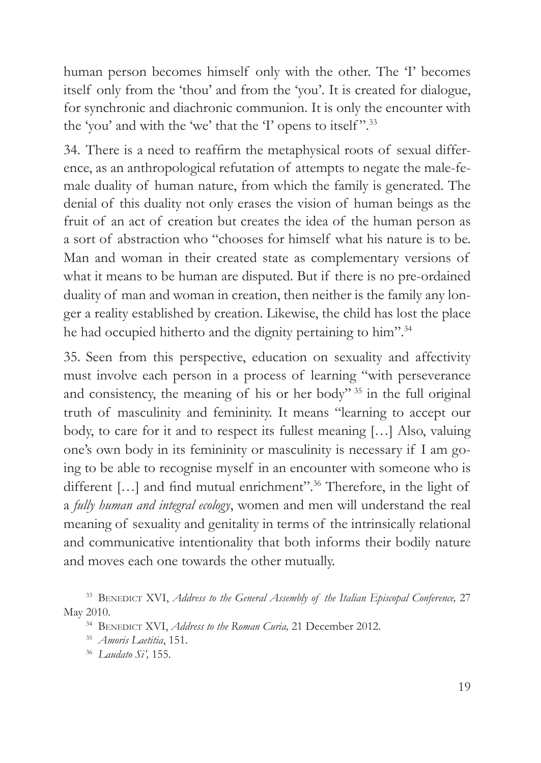human person becomes himself only with the other. The 'I' becomes itself only from the 'thou' and from the 'you'. It is created for dialogue, for synchronic and diachronic communion. It is only the encounter with the 'you' and with the 'we' that the 'I' opens to itself".<sup>33</sup>

34. There is a need to reaffirm the metaphysical roots of sexual difference, as an anthropological refutation of attempts to negate the male-female duality of human nature, from which the family is generated. The denial of this duality not only erases the vision of human beings as the fruit of an act of creation but creates the idea of the human person as a sort of abstraction who "chooses for himself what his nature is to be. Man and woman in their created state as complementary versions of what it means to be human are disputed. But if there is no pre-ordained duality of man and woman in creation, then neither is the family any longer a reality established by creation. Likewise, the child has lost the place he had occupied hitherto and the dignity pertaining to him".<sup>34</sup>

35. Seen from this perspective, education on sexuality and affectivity must involve each person in a process of learning "with perseverance and consistency, the meaning of his or her body" 35 in the full original truth of masculinity and femininity. It means "learning to accept our body, to care for it and to respect its fullest meaning […] Also, valuing one's own body in its femininity or masculinity is necessary if I am going to be able to recognise myself in an encounter with someone who is different [...] and find mutual enrichment".<sup>36</sup> Therefore, in the light of a *fully human and integral ecology*, women and men will understand the real meaning of sexuality and genitality in terms of the intrinsically relational and communicative intentionality that both informs their bodily nature and moves each one towards the other mutually.

<sup>33</sup> BENEDICT XVI, *Address to the General Assembly of the Italian Episcopal Conference*, 27 May 2010.

<sup>&</sup>lt;sup>34</sup> BENEDICT XVI, *Address to the Roman Curia*, 21 December 2012.<br><sup>35</sup> *Amoris Laetitia*, 151.

<sup>36</sup> *Laudato Si',* 155.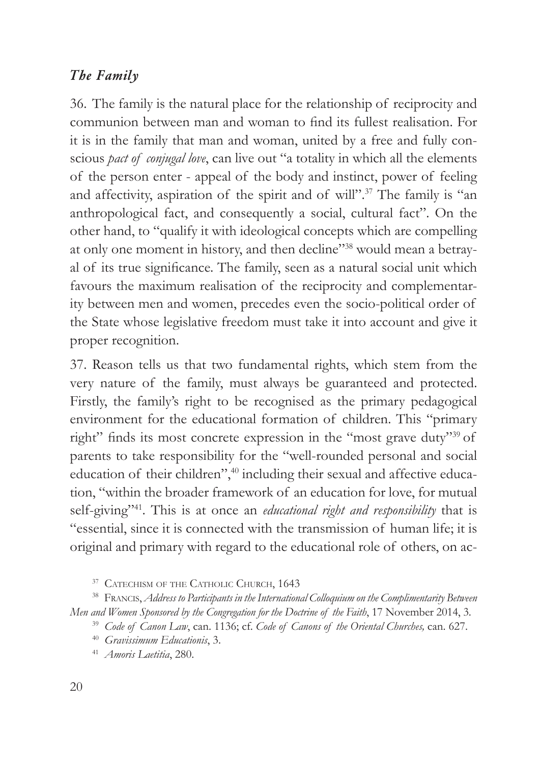#### *The Family*

36. The family is the natural place for the relationship of reciprocity and communion between man and woman to find its fullest realisation. For it is in the family that man and woman, united by a free and fully conscious *pact of conjugal love*, can live out "a totality in which all the elements of the person enter - appeal of the body and instinct, power of feeling and affectivity, aspiration of the spirit and of will".37 The family is "an anthropological fact, and consequently a social, cultural fact". On the other hand, to "qualify it with ideological concepts which are compelling at only one moment in history, and then decline"38 would mean a betrayal of its true significance. The family, seen as a natural social unit which favours the maximum realisation of the reciprocity and complementarity between men and women, precedes even the socio-political order of the State whose legislative freedom must take it into account and give it proper recognition.

37. Reason tells us that two fundamental rights, which stem from the very nature of the family, must always be guaranteed and protected. Firstly, the family's right to be recognised as the primary pedagogical environment for the educational formation of children. This "primary right" finds its most concrete expression in the "most grave duty"<sup>39</sup> of parents to take responsibility for the "well-rounded personal and social education of their children",<sup>40</sup> including their sexual and affective education, "within the broader framework of an education for love, for mutual self-giving"41. This is at once an *educational right and responsibility* that is "essential, since it is connected with the transmission of human life; it is original and primary with regard to the educational role of others, on ac-

<sup>37</sup> CATECHISM OF THE CATHOLIC CHURCH, 1643

<sup>38</sup> Francis, *Address to Participants in the International Colloquium on the Complimentarity Between Men and Women Sponsored by the Congregation for the Doctrine of the Faith*, 17 November 2014, 3.

<sup>39</sup> *Code of Canon Law*, can. 1136; cf. *Code of Canons of the Oriental Churches,* can. 627. 40 *Gravissimum Educationis*, 3.

<sup>41</sup> *Amoris Laetitia*, 280.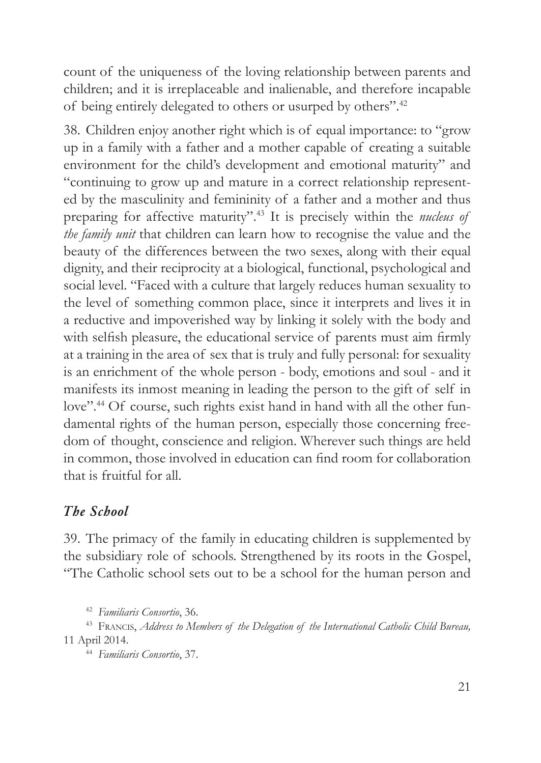count of the uniqueness of the loving relationship between parents and children; and it is irreplaceable and inalienable, and therefore incapable of being entirely delegated to others or usurped by others".42

38. Children enjoy another right which is of equal importance: to "grow up in a family with a father and a mother capable of creating a suitable environment for the child's development and emotional maturity" and "continuing to grow up and mature in a correct relationship represented by the masculinity and femininity of a father and a mother and thus preparing for affective maturity".43 It is precisely within the *nucleus of the family unit* that children can learn how to recognise the value and the beauty of the differences between the two sexes, along with their equal dignity, and their reciprocity at a biological, functional, psychological and social level. "Faced with a culture that largely reduces human sexuality to the level of something common place, since it interprets and lives it in a reductive and impoverished way by linking it solely with the body and with selfish pleasure, the educational service of parents must aim firmly at a training in the area of sex that is truly and fully personal: for sexuality is an enrichment of the whole person - body, emotions and soul - and it manifests its inmost meaning in leading the person to the gift of self in love".<sup>44</sup> Of course, such rights exist hand in hand with all the other fundamental rights of the human person, especially those concerning freedom of thought, conscience and religion. Wherever such things are held in common, those involved in education can find room for collaboration that is fruitful for all.

#### *The School*

39. The primacy of the family in educating children is supplemented by the subsidiary role of schools. Strengthened by its roots in the Gospel, "The Catholic school sets out to be a school for the human person and

<sup>42</sup> *Familiaris Consortio*, 36.

<sup>44</sup> *Familiaris Consortio*, 37.

<sup>43</sup> Francis, *Address to Members of the Delegation of the International Catholic Child Bureau,* 11 April 2014.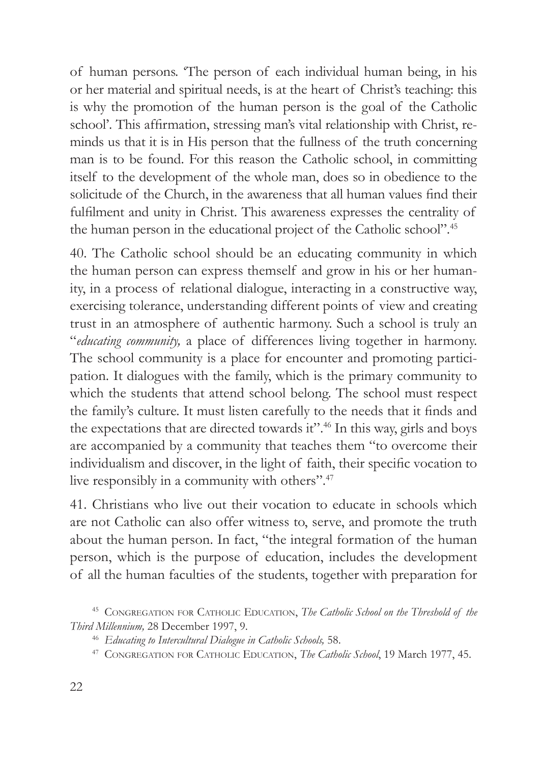of human persons. 'The person of each individual human being, in his or her material and spiritual needs, is at the heart of Christ's teaching: this is why the promotion of the human person is the goal of the Catholic school'. This affirmation, stressing man's vital relationship with Christ, reminds us that it is in His person that the fullness of the truth concerning man is to be found. For this reason the Catholic school, in committing itself to the development of the whole man, does so in obedience to the solicitude of the Church, in the awareness that all human values find their fulfilment and unity in Christ. This awareness expresses the centrality of the human person in the educational project of the Catholic school".45

40. The Catholic school should be an educating community in which the human person can express themself and grow in his or her humanity, in a process of relational dialogue, interacting in a constructive way, exercising tolerance, understanding different points of view and creating trust in an atmosphere of authentic harmony. Such a school is truly an "*educating community,* a place of differences living together in harmony. The school community is a place for encounter and promoting participation. It dialogues with the family, which is the primary community to which the students that attend school belong. The school must respect the family's culture. It must listen carefully to the needs that it finds and the expectations that are directed towards it".46 In this way, girls and boys are accompanied by a community that teaches them "to overcome their individualism and discover, in the light of faith, their specific vocation to live responsibly in a community with others".47

41. Christians who live out their vocation to educate in schools which are not Catholic can also offer witness to, serve, and promote the truth about the human person. In fact, "the integral formation of the human person, which is the purpose of education, includes the development of all the human faculties of the students, together with preparation for

<sup>&</sup>lt;sup>45</sup> CONGREGATION FOR CATHOLIC EDUCATION, *The Catholic School on the Threshold of the Third Millennium,* 28 December 1997, 9.

<sup>46</sup> *Educating to Intercultural Dialogue in Catholic Schools,* 58.

<sup>47</sup> Congregation for Catholic Education, *The Catholic School*, 19 March 1977, 45.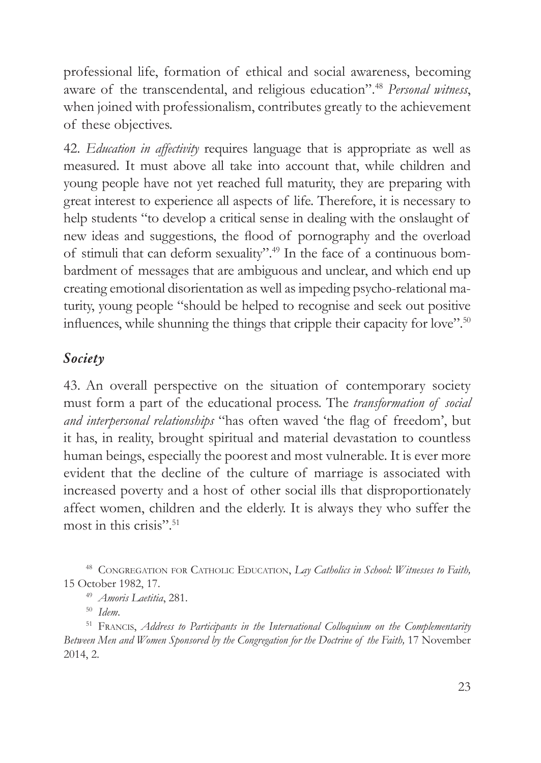professional life, formation of ethical and social awareness, becoming aware of the transcendental, and religious education".48 *Personal witness*, when joined with professionalism, contributes greatly to the achievement of these objectives.

42. *Education in affectivity* requires language that is appropriate as well as measured. It must above all take into account that, while children and young people have not yet reached full maturity, they are preparing with great interest to experience all aspects of life. Therefore, it is necessary to help students "to develop a critical sense in dealing with the onslaught of new ideas and suggestions, the flood of pornography and the overload of stimuli that can deform sexuality".49 In the face of a continuous bombardment of messages that are ambiguous and unclear, and which end up creating emotional disorientation as well as impeding psycho-relational maturity, young people "should be helped to recognise and seek out positive influences, while shunning the things that cripple their capacity for love".<sup>50</sup>

#### *Society*

43. An overall perspective on the situation of contemporary society must form a part of the educational process. The *transformation of social and interpersonal relationships* "has often waved 'the flag of freedom', but it has, in reality, brought spiritual and material devastation to countless human beings, especially the poorest and most vulnerable. It is ever more evident that the decline of the culture of marriage is associated with increased poverty and a host of other social ills that disproportionately affect women, children and the elderly. It is always they who suffer the most in this crisis".51

<sup>48</sup> CONGREGATION FOR CATHOLIC EDUCATION, *Lay Catholics in School: Witnesses to Faith*, 15 October 1982, 17.

<sup>49</sup> *Amoris Laetitia*, 281.

<sup>50</sup> Idem.<br><sup>51</sup> Francis, *Address to Participants in the International Colloquium on the Complementarity Between Men and Women Sponsored by the Congregation for the Doctrine of the Faith,* 17 November 2014, 2.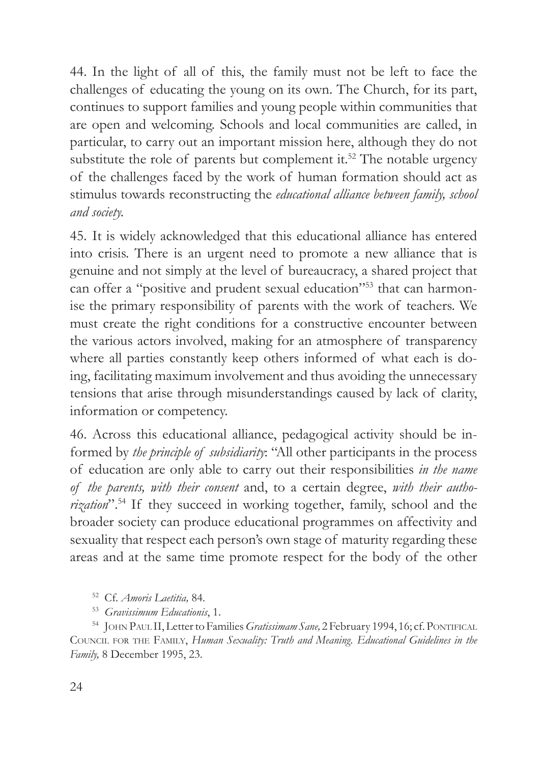44. In the light of all of this, the family must not be left to face the challenges of educating the young on its own. The Church, for its part, continues to support families and young people within communities that are open and welcoming. Schools and local communities are called, in particular, to carry out an important mission here, although they do not substitute the role of parents but complement it.<sup>52</sup> The notable urgency of the challenges faced by the work of human formation should act as stimulus towards reconstructing the *educational alliance between family, school and society.*

45. It is widely acknowledged that this educational alliance has entered into crisis. There is an urgent need to promote a new alliance that is genuine and not simply at the level of bureaucracy, a shared project that can offer a "positive and prudent sexual education"<sup>53</sup> that can harmonise the primary responsibility of parents with the work of teachers. We must create the right conditions for a constructive encounter between the various actors involved, making for an atmosphere of transparency where all parties constantly keep others informed of what each is doing, facilitating maximum involvement and thus avoiding the unnecessary tensions that arise through misunderstandings caused by lack of clarity, information or competency.

46. Across this educational alliance, pedagogical activity should be informed by *the principle of subsidiarity*: "All other participants in the process of education are only able to carry out their responsibilities *in the name of the parents, with their consent* and, to a certain degree, *with their authorization*".54 If they succeed in working together, family, school and the broader society can produce educational programmes on affectivity and sexuality that respect each person's own stage of maturity regarding these areas and at the same time promote respect for the body of the other

<sup>52</sup> Cf. *Amoris Laetitia,* 84.

<sup>53</sup> *Gravissimum Educationis*, 1.

<sup>54</sup> JOHN PAUL II, Letter to Families *Gratissimam Sane*, 2 February 1994, 16; cf. PONTIFICAL Council for the Family, *Human Sexuality: Truth and Meaning. Educational Guidelines in the Family,* 8 December 1995, 23.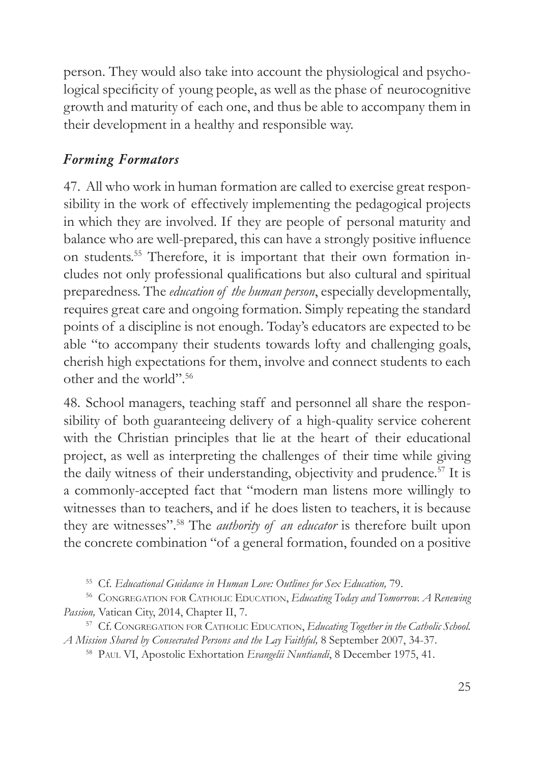person. They would also take into account the physiological and psychological specificity of young people, as well as the phase of neurocognitive growth and maturity of each one, and thus be able to accompany them in their development in a healthy and responsible way.

## *Forming Formators*

47. All who work in human formation are called to exercise great responsibility in the work of effectively implementing the pedagogical projects in which they are involved. If they are people of personal maturity and balance who are well-prepared, this can have a strongly positive influence on students.55 Therefore, it is important that their own formation includes not only professional qualifications but also cultural and spiritual preparedness. The *education of the human person*, especially developmentally, requires great care and ongoing formation. Simply repeating the standard points of a discipline is not enough. Today's educators are expected to be able "to accompany their students towards lofty and challenging goals, cherish high expectations for them, involve and connect students to each other and the world".56

48. School managers, teaching staff and personnel all share the responsibility of both guaranteeing delivery of a high-quality service coherent with the Christian principles that lie at the heart of their educational project, as well as interpreting the challenges of their time while giving the daily witness of their understanding, objectivity and prudence.<sup>57</sup> It is a commonly-accepted fact that "modern man listens more willingly to witnesses than to teachers, and if he does listen to teachers, it is because they are witnesses".58 The *authority of an educator* is therefore built upon the concrete combination "of a general formation, founded on a positive

<sup>55</sup> Cf. *Educational Guidance in Human Love: Outlines for Sex Education,* 79.

<sup>56</sup> Congregation for Catholic Education, *Educating Today and Tomorrow. A Renewing Passion,* Vatican City, 2014, Chapter II, 7.

<sup>57</sup> Cf. CONGREGATION FOR CATHOLIC EDUCATION, *Educating Together in the Catholic School*. *A Mission Shared by Consecrated Persons and the Lay Faithful,* 8 September 2007, 34-37.

<sup>58</sup> Paul VI, Apostolic Exhortation *Evangelii Nuntiandi*, 8 December 1975, 41.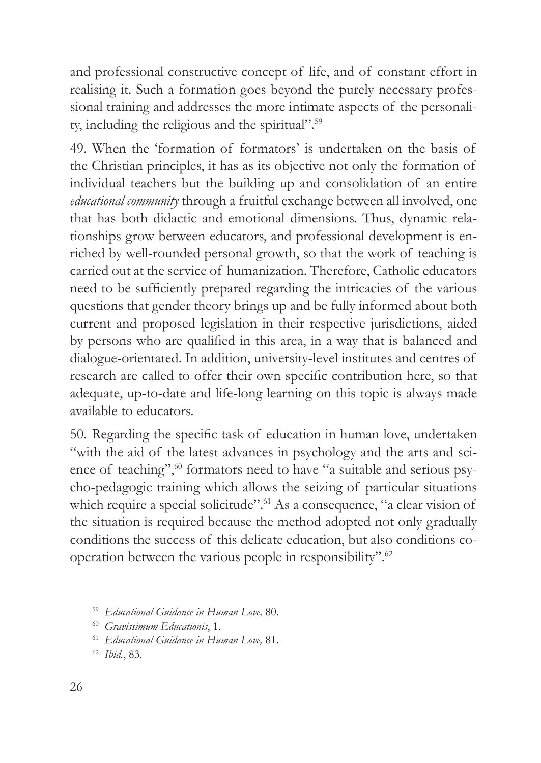and professional constructive concept of life, and of constant effort in realising it. Such a formation goes beyond the purely necessary professional training and addresses the more intimate aspects of the personality, including the religious and the spiritual".59

49. When the 'formation of formators' is undertaken on the basis of the Christian principles, it has as its objective not only the formation of individual teachers but the building up and consolidation of an entire *educational community* through a fruitful exchange between all involved, one that has both didactic and emotional dimensions. Thus, dynamic relationships grow between educators, and professional development is enriched by well-rounded personal growth, so that the work of teaching is carried out at the service of humanization. Therefore, Catholic educators need to be sufficiently prepared regarding the intricacies of the various questions that gender theory brings up and be fully informed about both current and proposed legislation in their respective jurisdictions, aided by persons who are qualified in this area, in a way that is balanced and dialogue-orientated. In addition, university-level institutes and centres of research are called to offer their own specific contribution here, so that adequate, up-to-date and life-long learning on this topic is always made available to educators.

50. Regarding the specific task of education in human love, undertaken "with the aid of the latest advances in psychology and the arts and science of teaching",<sup>60</sup> formators need to have "a suitable and serious psycho-pedagogic training which allows the seizing of particular situations which require a special solicitude".<sup>61</sup> As a consequence, "a clear vision of the situation is required because the method adopted not only gradually conditions the success of this delicate education, but also conditions cooperation between the various people in responsibility".62

<sup>59</sup> *Educational Guidance in Human Love,* 80.

<sup>60</sup> *Gravissimum Educationis*, 1.

<sup>61</sup> *Educational Guidance in Human Love,* 81.

<sup>62</sup> *Ibid.*, 83.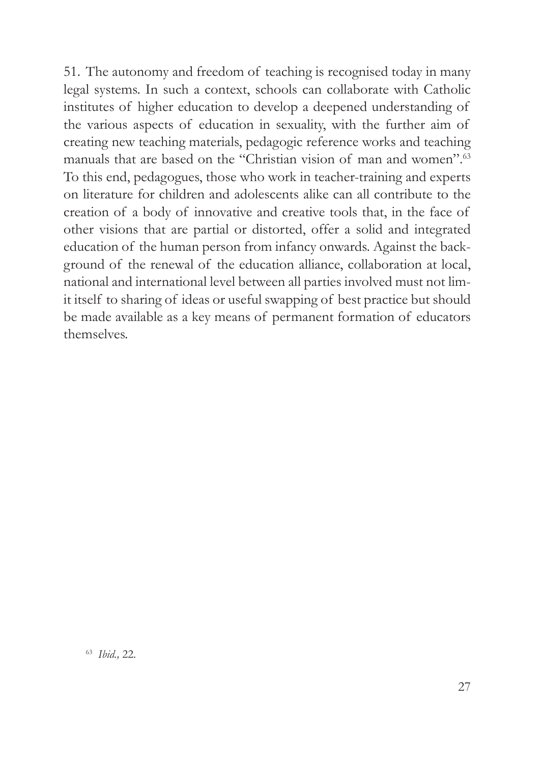51. The autonomy and freedom of teaching is recognised today in many legal systems. In such a context, schools can collaborate with Catholic institutes of higher education to develop a deepened understanding of the various aspects of education in sexuality, with the further aim of creating new teaching materials, pedagogic reference works and teaching manuals that are based on the "Christian vision of man and women".<sup>63</sup> To this end, pedagogues, those who work in teacher-training and experts on literature for children and adolescents alike can all contribute to the creation of a body of innovative and creative tools that, in the face of other visions that are partial or distorted, offer a solid and integrated education of the human person from infancy onwards. Against the background of the renewal of the education alliance, collaboration at local, national and international level between all parties involved must not limit itself to sharing of ideas or useful swapping of best practice but should be made available as a key means of permanent formation of educators themselves.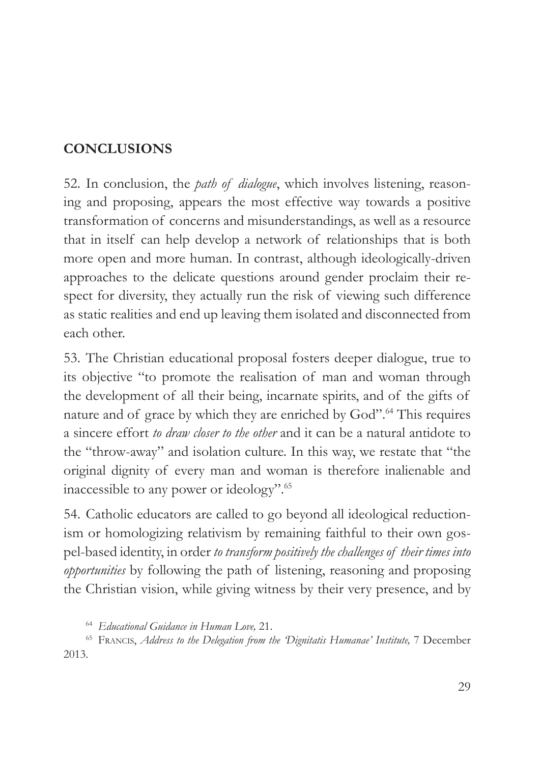## **CONCLUSIONS**

52. In conclusion, the *path of dialogue*, which involves listening, reasoning and proposing, appears the most effective way towards a positive transformation of concerns and misunderstandings, as well as a resource that in itself can help develop a network of relationships that is both more open and more human. In contrast, although ideologically-driven approaches to the delicate questions around gender proclaim their respect for diversity, they actually run the risk of viewing such difference as static realities and end up leaving them isolated and disconnected from each other.

53. The Christian educational proposal fosters deeper dialogue, true to its objective "to promote the realisation of man and woman through the development of all their being, incarnate spirits, and of the gifts of nature and of grace by which they are enriched by God".<sup>64</sup> This requires a sincere effort *to draw closer to the other* and it can be a natural antidote to the "throw-away" and isolation culture. In this way, we restate that "the original dignity of every man and woman is therefore inalienable and inaccessible to any power or ideology".65

54. Catholic educators are called to go beyond all ideological reductionism or homologizing relativism by remaining faithful to their own gospel-based identity, in order *to transform positively the challenges of their times into opportunities* by following the path of listening, reasoning and proposing the Christian vision, while giving witness by their very presence, and by

<sup>64</sup> *Educational Guidance in Human Love,* 21.

<sup>65</sup> Francis, *Address to the Delegation from the 'Dignitatis Humanae' Institute,* 7 December 2013.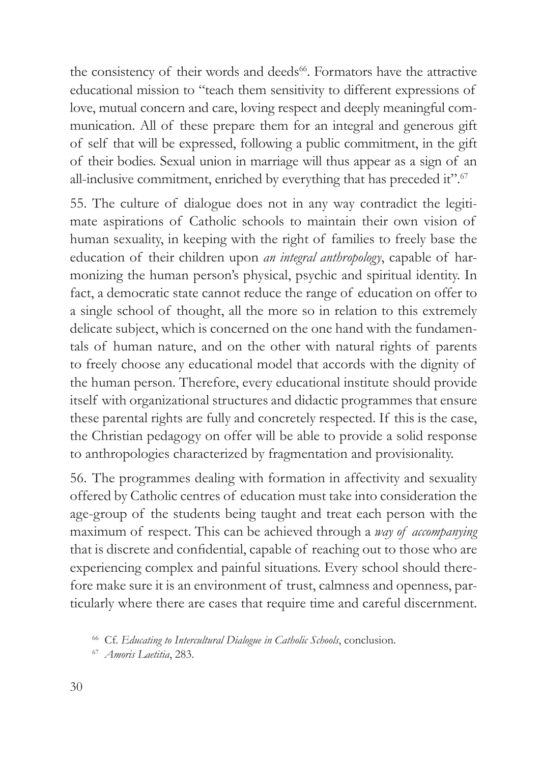the consistency of their words and deeds<sup>66</sup>. Formators have the attractive educational mission to "teach them sensitivity to different expressions of love, mutual concern and care, loving respect and deeply meaningful communication. All of these prepare them for an integral and generous gift of self that will be expressed, following a public commitment, in the gift of their bodies. Sexual union in marriage will thus appear as a sign of an all-inclusive commitment, enriched by everything that has preceded it".<sup>67</sup>

55. The culture of dialogue does not in any way contradict the legitimate aspirations of Catholic schools to maintain their own vision of human sexuality, in keeping with the right of families to freely base the education of their children upon *an integral anthropology*, capable of harmonizing the human person's physical, psychic and spiritual identity. In fact, a democratic state cannot reduce the range of education on offer to a single school of thought, all the more so in relation to this extremely delicate subject, which is concerned on the one hand with the fundamentals of human nature, and on the other with natural rights of parents to freely choose any educational model that accords with the dignity of the human person. Therefore, every educational institute should provide itself with organizational structures and didactic programmes that ensure these parental rights are fully and concretely respected. If this is the case, the Christian pedagogy on offer will be able to provide a solid response to anthropologies characterized by fragmentation and provisionality.

56. The programmes dealing with formation in affectivity and sexuality offered by Catholic centres of education must take into consideration the age-group of the students being taught and treat each person with the maximum of respect. This can be achieved through a *way of accompanying* that is discrete and confidential, capable of reaching out to those who are experiencing complex and painful situations. Every school should therefore make sure it is an environment of trust, calmness and openness, particularly where there are cases that require time and careful discernment.

<sup>66</sup> Cf. *Educating to Intercultural Dialogue in Catholic Schools*, conclusion.

<sup>67</sup> *Amoris Laetitia*, 283.